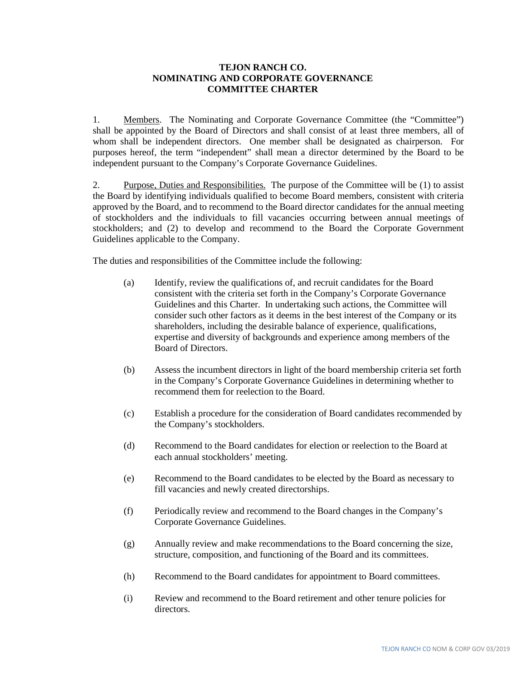## **TEJON RANCH CO. NOMINATING AND CORPORATE GOVERNANCE COMMITTEE CHARTER**

1. Members. The Nominating and Corporate Governance Committee (the "Committee") shall be appointed by the Board of Directors and shall consist of at least three members, all of whom shall be independent directors. One member shall be designated as chairperson. For purposes hereof, the term "independent" shall mean a director determined by the Board to be independent pursuant to the Company's Corporate Governance Guidelines.

2. Purpose, Duties and Responsibilities. The purpose of the Committee will be (1) to assist the Board by identifying individuals qualified to become Board members, consistent with criteria approved by the Board, and to recommend to the Board director candidates for the annual meeting of stockholders and the individuals to fill vacancies occurring between annual meetings of stockholders; and (2) to develop and recommend to the Board the Corporate Government Guidelines applicable to the Company.

The duties and responsibilities of the Committee include the following:

- (a) Identify, review the qualifications of, and recruit candidates for the Board consistent with the criteria set forth in the Company's Corporate Governance Guidelines and this Charter. In undertaking such actions, the Committee will consider such other factors as it deems in the best interest of the Company or its shareholders, including the desirable balance of experience, qualifications, expertise and diversity of backgrounds and experience among members of the Board of Directors.
- (b) Assess the incumbent directors in light of the board membership criteria set forth in the Company's Corporate Governance Guidelines in determining whether to recommend them for reelection to the Board.
- (c) Establish a procedure for the consideration of Board candidates recommended by the Company's stockholders.
- (d) Recommend to the Board candidates for election or reelection to the Board at each annual stockholders' meeting.
- (e) Recommend to the Board candidates to be elected by the Board as necessary to fill vacancies and newly created directorships.
- (f) Periodically review and recommend to the Board changes in the Company's Corporate Governance Guidelines.
- (g) Annually review and make recommendations to the Board concerning the size, structure, composition, and functioning of the Board and its committees.
- (h) Recommend to the Board candidates for appointment to Board committees.
- (i) Review and recommend to the Board retirement and other tenure policies for directors.